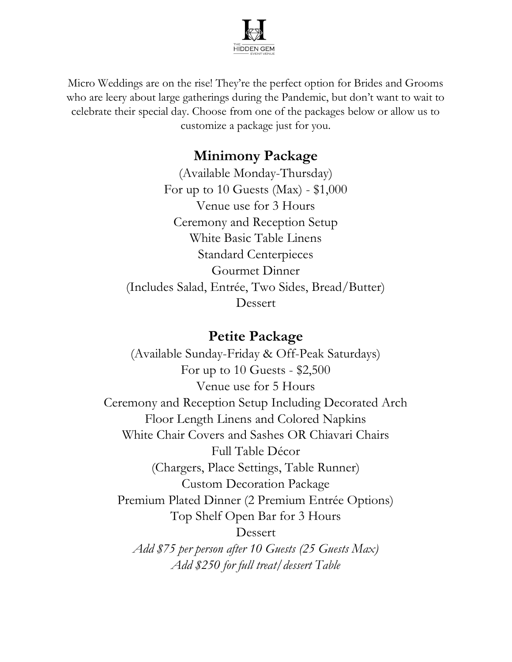

Micro Weddings are on the rise! They're the perfect option for Brides and Grooms who are leery about large gatherings during the Pandemic, but don't want to wait to celebrate their special day. Choose from one of the packages below or allow us to customize a package just for you.

## Minimony Package

(Available Monday-Thursday) For up to 10 Guests (Max) -  $$1,000$ Venue use for 3 Hours Ceremony and Reception Setup White Basic Table Linens Standard Centerpieces Gourmet Dinner (Includes Salad, Entrée, Two Sides, Bread/Butter) Dessert

## Petite Package

(Available Sunday-Friday & Off-Peak Saturdays) For up to 10 Guests - \$2,500 Venue use for 5 Hours Ceremony and Reception Setup Including Decorated Arch Floor Length Linens and Colored Napkins White Chair Covers and Sashes OR Chiavari Chairs Full Table Décor (Chargers, Place Settings, Table Runner) Custom Decoration Package Premium Plated Dinner (2 Premium Entrée Options) Top Shelf Open Bar for 3 Hours Dessert Add \$75 per person after 10 Guests (25 Guests Max) Add \$250 for full treat/dessert Table